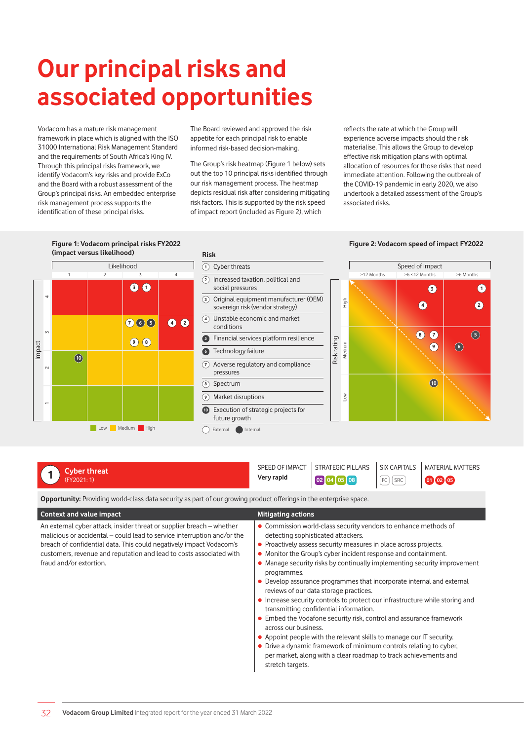# **Our principal risks and associated opportunities**

Vodacom has a mature risk management framework in place which is aligned with the ISO 31000 International Risk Management Standard and the requirements of South Africa's King IV. Through this principal risks framework, we identify Vodacom's key risks and provide ExCo and the Board with a robust assessment of the Group's principal risks. An embedded enterprise risk management process supports the identification of these principal risks.

The Board reviewed and approved the risk appetite for each principal risk to enable informed risk-based decision-making.

The Group's risk heatmap (Figure 1 below) sets out the top 10 principal risks identified through our risk management process. The heatmap depicts residual risk after considering mitigating risk factors. This is supported by the risk speed of impact report (included as Figure 2), which

reflects the rate at which the Group will experience adverse impacts should the risk materialise. This allows the Group to develop effective risk mitigation plans with optimal allocation of resources for those risks that need immediate attention. Following the outbreak of the COVID-19 pandemic in early 2020, we also undertook a detailed assessment of the Group's associated risks.



# **1 Cyber threat** (FY2021: 1)

SPEED OF IMPACT STRATEGIC PILLARS SIX CAPITALS MATERIAL MATTERS **Very rapid 02 04 05 08 FC** SRC **00 <b>0** 

**Opportunity:** Providing world-class data security as part of our growing product offerings in the enterprise space.

| <b>Context and value impact</b>                                                                                                                                                                                                                                                                                           | <b>Mitigating actions</b>                                                                                                                                                                                                                                                                                                                                                                                                                                                                                                                                                                                                                                                                                                                                                                                                                                                                                                |
|---------------------------------------------------------------------------------------------------------------------------------------------------------------------------------------------------------------------------------------------------------------------------------------------------------------------------|--------------------------------------------------------------------------------------------------------------------------------------------------------------------------------------------------------------------------------------------------------------------------------------------------------------------------------------------------------------------------------------------------------------------------------------------------------------------------------------------------------------------------------------------------------------------------------------------------------------------------------------------------------------------------------------------------------------------------------------------------------------------------------------------------------------------------------------------------------------------------------------------------------------------------|
| An external cyber attack, insider threat or supplier breach – whether<br>malicious or accidental - could lead to service interruption and/or the<br>breach of confidential data. This could negatively impact Vodacom's<br>customers, revenue and reputation and lead to costs associated with<br>fraud and/or extortion. | • Commission world-class security vendors to enhance methods of<br>detecting sophisticated attackers.<br>• Proactively assess security measures in place across projects.<br>• Monitor the Group's cyber incident response and containment.<br>• Manage security risks by continually implementing security improvement<br>programmes.<br>• Develop assurance programmes that incorporate internal and external<br>reviews of our data storage practices.<br>• Increase security controls to protect our infrastructure while storing and<br>transmitting confidential information.<br>• Embed the Vodafone security risk, control and assurance framework<br>across our business.<br>• Appoint people with the relevant skills to manage our IT security.<br>• Drive a dynamic framework of minimum controls relating to cyber,<br>per market, along with a clear roadmap to track achievements and<br>stretch targets. |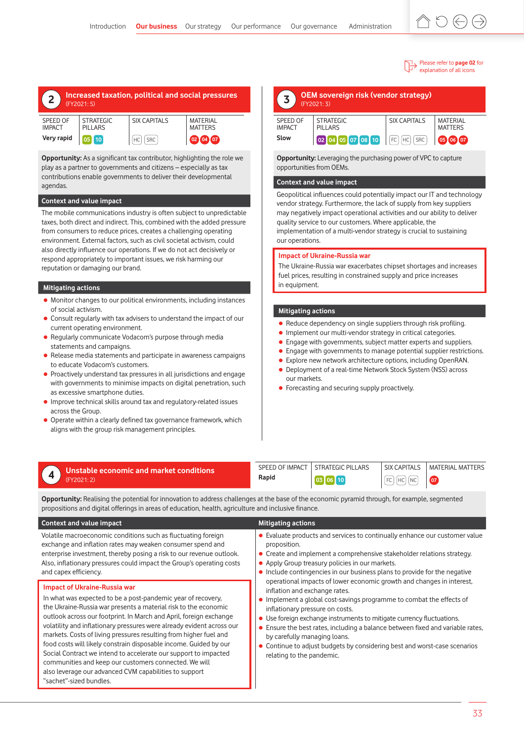#### Please refer to **page 02** for explanation of all icons

| Increased taxation, political and social pressures<br>$\epsilon$<br>(FY2021:5) |                  |                     |                |
|--------------------------------------------------------------------------------|------------------|---------------------|----------------|
| SPEED OF                                                                       | <b>STRATEGIC</b> | <b>SIX CAPITALS</b> | MATERIAL       |
| <b>IMPACT</b>                                                                  | <b>PILLARS</b>   |                     | <b>MATTERS</b> |

**Very rapid 05 10** HC SRC **<sup>02</sup> <sup>04</sup> <sup>07</sup>**

**Opportunity:** As a significant tax contributor, highlighting the role we play as a partner to governments and citizens – especially as tax contributions enable governments to deliver their developmental agendas.

### **Context and value impact**

The mobile communications industry is often subject to unpredictable taxes, both direct and indirect. This, combined with the added pressure from consumers to reduce prices, creates a challenging operating environment. External factors, such as civil societal activism, could also directly influence our operations. If we do not act decisively or respond appropriately to important issues, we risk harming our reputation or damaging our brand.

### **Mitigating actions**

and capex efficiency.

"sachet"-sized bundles.

**Impact of Ukraine-Russia war**

- Monitor changes to our political environments, including instances of social activism.
- Consult regularly with tax advisers to understand the impact of our current operating environment.
- Regularly communicate Vodacom's purpose through media statements and campaigns.
- $\bullet$  Release media statements and participate in awareness campaigns to educate Vodacom's customers.
- Proactively understand tax pressures in all jurisdictions and engage with governments to minimise impacts on digital penetration, such as excessive smartphone duties.
- **•** Improve technical skills around tax and regulatory-related issues across the Group.
- Operate within a clearly defined tax governance framework, which aligns with the group risk management principles.

| OEM sovereign risk (vendor strategy)<br>(FY2021:3) |                                    |                        |                            |
|----------------------------------------------------|------------------------------------|------------------------|----------------------------|
| <b>SPEED OF</b><br><b>IMPACT</b>                   | <b>STRATEGIC</b><br><b>PILLARS</b> | <b>SIX CAPITALS</b>    | MATERIAL<br><b>MATTERS</b> |
| Slow                                               | 02 04 05 07 08 10                  | FC<br><b>SRC</b><br>НC | 07<br>05                   |

**Opportunity:** Leveraging the purchasing power of VPC to capture opportunities from OEMs.

# **Context and value impact**

Geopolitical influences could potentially impact our IT and technology vendor strategy. Furthermore, the lack of supply from key suppliers may negatively impact operational activities and our ability to deliver quality service to our customers. Where applicable, the implementation of a multi-vendor strategy is crucial to sustaining our operations.

### **Impact of Ukraine-Russia war**

The Ukraine-Russia war exacerbates chipset shortages and increases fuel prices, resulting in constrained supply and price increases in equipment.

# **Mitigating actions**

- Reduce dependency on single suppliers through risk profiling.
- **Implement our multi-vendor strategy in critical categories.**
- Engage with governments, subject matter experts and suppliers.
- Engage with governments to manage potential supplier restrictions.
- Explore new network architecture options, including OpenRAN.
- Deployment of a real-time Network Stock System (NSS) across our markets.
- **•** Forecasting and securing supply proactively.

# **4 Unstable economic and market conditions** (FY2021: 2)

Volatile macroeconomic conditions such as fluctuating foreign exchange and inflation rates may weaken consumer spend and enterprise investment, thereby posing a risk to our revenue outlook. Also, inflationary pressures could impact the Group's operating costs

In what was expected to be a post-pandemic year of recovery, the Ukraine-Russia war presents a material risk to the economic outlook across our footprint. In March and April, foreign exchange volatility and inflationary pressures were already evident across our markets. Costs of living pressures resulting from higher fuel and food costs will likely constrain disposable income. Guided by our Social Contract we intend to accelerate our support to impacted communities and keep our customers connected. We will also leverage our advanced CVM capabilities to support

SPEED OF IMPACT STRATEGIC PILLARS SIX CAPITALS MATERIAL MATTERS **Rapid 03 06 10 FC FC FC 0 07** 

**Opportunity:** Realising the potential for innovation to address challenges at the base of the economic pyramid through, for example, segmented propositions and digital offerings in areas of education, health, agriculture and inclusive finance.

# **Context and value impact <b>Mitigating actions Mitigating actions**

- Evaluate products and services to continually enhance our customer value proposition.
- Create and implement a comprehensive stakeholder relations strategy.
- Apply Group treasury policies in our markets.
- Include contingencies in our business plans to provide for the negative operational impacts of lower economic growth and changes in interest, inflation and exchange rates.
- Implement a global cost-savings programme to combat the effects of inflationary pressure on costs.
- Use foreign exchange instruments to mitigate currency fluctuations.
- **•** Ensure the best rates, including a balance between fixed and variable rates, by carefully managing loans.
- Continue to adjust budgets by considering best and worst-case scenarios relating to the pandemic.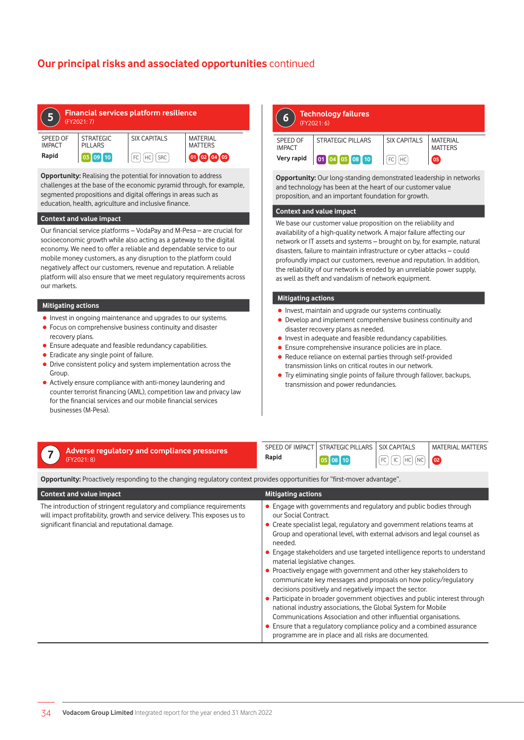# **Our principal risks and associated opportunities** continued

| <b>Financial services platform resilience</b><br>5<br>(FY2021:7) |                                    |                        |                                   |  |
|------------------------------------------------------------------|------------------------------------|------------------------|-----------------------------------|--|
| SPEED OF<br><b>IMPACT</b>                                        | <b>STRATEGIC</b><br><b>PILLARS</b> | <b>SIX CAPITALS</b>    | <b>MATERIAL</b><br><b>MATTERS</b> |  |
| Rapid                                                            | $\sqrt{109}$ 10                    | <b>SRC</b><br>FC<br>HC | 02 04 05                          |  |

**Opportunity:** Realising the potential for innovation to address challenges at the base of the economic pyramid through, for example, segmented propositions and digital offerings in areas such as education, health, agriculture and inclusive finance.

### **Context and value impact**

Our financial service platforms – VodaPay and M-Pesa – are crucial for socioeconomic growth while also acting as a gateway to the digital economy. We need to offer a reliable and dependable service to our mobile money customers, as any disruption to the platform could negatively affect our customers, revenue and reputation. A reliable platform will also ensure that we meet regulatory requirements across our markets.

## **Mitigating actions**

- Invest in ongoing maintenance and upgrades to our systems.
- Focus on comprehensive business continuity and disaster recovery plans.
- Ensure adequate and feasible redundancy capabilities.
- $\bullet$  Eradicate any single point of failure.
- Drive consistent policy and system implementation across the Group.
- Actively ensure compliance with anti-money laundering and counter terrorist financing (AML), competition law and privacy law for the financial services and our mobile financial services businesses (M-Pesa).

# **6 Technology failures** (FY2021: 6) SPEED OF IMPACT STRATEGIC PILLARS | SIX CAPITALS | MATERIAL MATTERS **Very rapid 01 04 05 08 10 FC**  $F$

**Opportunity:** Our long-standing demonstrated leadership in networks and technology has been at the heart of our customer value proposition, and an important foundation for growth.

## **Context and value impact**

We base our customer value proposition on the reliability and availability of a high-quality network. A major failure affecting our network or IT assets and systems – brought on by, for example, natural disasters, failure to maintain infrastructure or cyber attacks – could profoundly impact our customers, revenue and reputation. In addition, the reliability of our network is eroded by an unreliable power supply, as well as theft and vandalism of network equipment.

### **Mitigating actions**

- Invest, maintain and upgrade our systems continually.
- Develop and implement comprehensive business continuity and disaster recovery plans as needed.
- **•** Invest in adequate and feasible redundancy capabilities.
- Ensure comprehensive insurance policies are in place.
- Reduce reliance on external parties through self-provided transmission links on critical routes in our network.
- Try eliminating single points of failure through fallover, backups, transmission and power redundancies.

| Adverse regulatory and compliance pressures |       | SPEED OF IMPACT STRATEGIC PILLARS | <b>SIX CAPITALS</b> | <b>MATERIAL MATTERS</b> |
|---------------------------------------------|-------|-----------------------------------|---------------------|-------------------------|
| (FY2021:8)                                  | Rapid |                                   | FC   IC   HC   NC   |                         |
|                                             |       |                                   |                     |                         |

**Opportunity:** Proactively responding to the changing regulatory context provides opportunities for "first-mover advantage".

| <b>Context and value impact</b>                                                                                                                                                                      | <b>Mitigating actions</b>                                                                                                                                                                                                                                                                                                                                                                                                                                                                                                                                                                                                                                                                                                                                                                                                                                                                                                       |
|------------------------------------------------------------------------------------------------------------------------------------------------------------------------------------------------------|---------------------------------------------------------------------------------------------------------------------------------------------------------------------------------------------------------------------------------------------------------------------------------------------------------------------------------------------------------------------------------------------------------------------------------------------------------------------------------------------------------------------------------------------------------------------------------------------------------------------------------------------------------------------------------------------------------------------------------------------------------------------------------------------------------------------------------------------------------------------------------------------------------------------------------|
| The introduction of stringent regulatory and compliance requirements<br>will impact profitability, growth and service delivery. This exposes us to<br>significant financial and reputational damage. | • Engage with governments and regulatory and public bodies through<br>our Social Contract.<br>• Create specialist legal, regulatory and government relations teams at<br>Group and operational level, with external advisors and legal counsel as<br>needed.<br>• Engage stakeholders and use targeted intelligence reports to understand<br>material legislative changes.<br>• Proactively engage with government and other key stakeholders to<br>communicate key messages and proposals on how policy/regulatory<br>decisions positively and negatively impact the sector.<br>• Participate in broader government objectives and public interest through<br>national industry associations, the Global System for Mobile<br>Communications Association and other influential organisations.<br>• Ensure that a regulatory compliance policy and a combined assurance<br>programme are in place and all risks are documented. |